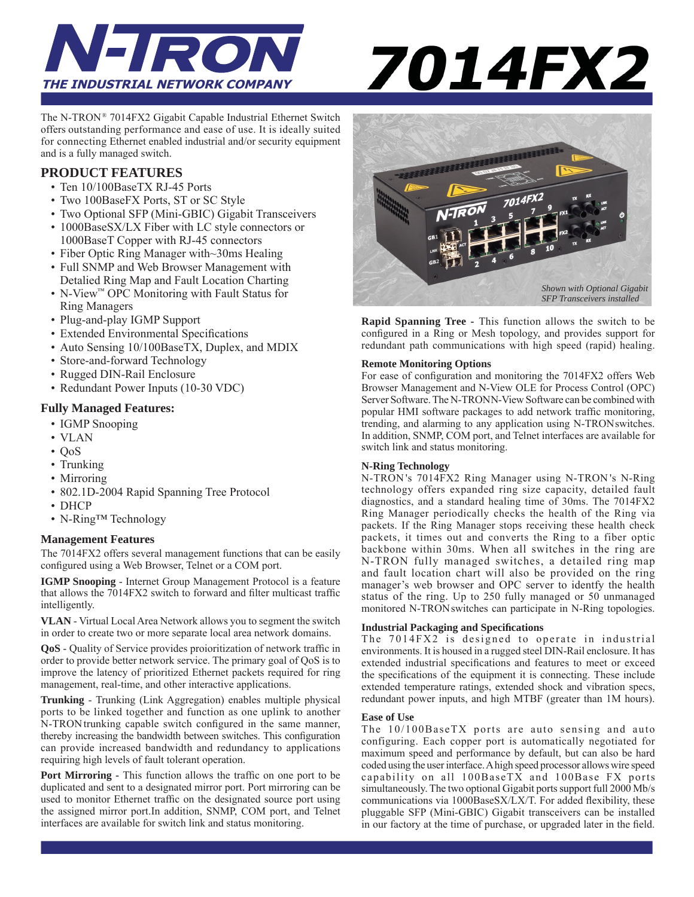

# 7014FX2

The N-TRON® 7014FX2 Gigabit Capable Industrial Ethernet Switch offers outstanding performance and ease of use. It is ideally suited for connecting Ethernet enabled industrial and/or security equipment and is a fully managed switch.

#### **PRODUCT FEATURES**

- Ten 10/100BaseTX RJ-45 Ports
- Two 100BaseFX Ports, ST or SC Style
- Two Optional SFP (Mini-GBIC) Gigabit Transceivers
- 1000BaseSX/LX Fiber with LC style connectors or 1000BaseT Copper with RJ-45 connectors
- Fiber Optic Ring Manager with~30ms Healing
- Full SNMP and Web Browser Management with Detalied Ring Map and Fault Location Charting
- N-View™ OPC Monitoring with Fault Status for Ring Managers
- Plug-and-play IGMP Support
- Extended Environmental Specifications
- Auto Sensing 10/100BaseTX, Duplex, and MDIX
- Store-and-forward Technology
- Rugged DIN-Rail Enclosure
- Redundant Power Inputs (10-30 VDC)

#### **Fully Managed Features:**

- IGMP Snooping
- VLAN
- $\cdot$  OoS
- Trunking
- Mirroring
- 802.1D-2004 Rapid Spanning Tree Protocol
- DHCP
- N-Ring™ Technology

#### **Management Features**

The 7014FX2 offers several management functions that can be easily configured using a Web Browser, Telnet or a COM port.

**IGMP Snooping** - Internet Group Management Protocol is a feature that allows the 7014FX2 switch to forward and filter multicast traffic intelligently.

**VLAN** - Virtual Local Area Network allows you to segment the switch in order to create two or more separate local area network domains.

**QoS** - Quality of Service provides proioritization of network traffic in order to provide better network service. The primary goal of QoS is to improve the latency of prioritized Ethernet packets required for ring management, real-time, and other interactive applications.

**Trunking** - Trunking (Link Aggregation) enables multiple physical ports to be linked together and function as one uplink to another N-TRON trunking capable switch configured in the same manner, thereby increasing the bandwidth between switches. This configuration can provide increased bandwidth and redundancy to applications requiring high levels of fault tolerant operation.

**Port Mirroring -** This function allows the traffic on one port to be duplicated and sent to a designated mirror port. Port mirroring can be used to monitor Ethernet traffic on the designated source port using the assigned mirror port.In addition, SNMP, COM port, and Telnet interfaces are available for switch link and status monitoring.



**Rapid Spanning Tree -** This function allows the switch to be configured in a Ring or Mesh topology, and provides support for redundant path communications with high speed (rapid) healing.

#### **Remote Monitoring Options**

For ease of configuration and monitoring the 7014FX2 offers Web Browser Management and N-View OLE for Process Control (OPC) Server Software. The N-TRONN-View Software can be combined with popular HMI software packages to add network traffic monitoring, trending, and alarming to any application using N-TRONswitches. In addition, SNMP, COM port, and Telnet interfaces are available for switch link and status monitoring.

#### **N-Ring Technology**

N-TRON 's 7014FX2 Ring Manager using N-TRON 's N-Ring technology offers expanded ring size capacity, detailed fault diagnostics, and a standard healing time of 30ms. The 7014FX2 Ring Manager periodically checks the health of the Ring via packets. If the Ring Manager stops receiving these health check packets, it times out and converts the Ring to a fiber optic backbone within 30ms. When all switches in the ring are N-TRON fully managed switches, a detailed ring map and fault location chart will also be provided on the ring manager's web browser and OPC server to identfy the health status of the ring. Up to 250 fully managed or 50 unmanaged monitored N-TRONswitches can participate in N-Ring topologies.

#### **Industrial Packaging and Specifi cations**

The  $7014FX2$  is designed to operate in industrial environments. It is housed in a rugged steel DIN-Rail enclosure. It has extended industrial specifications and features to meet or exceed the specifications of the equipment it is connecting. These include extended temperature ratings, extended shock and vibration specs, redundant power inputs, and high MTBF (greater than 1M hours).

#### **Ease of Use**

The 10/100BaseTX ports are auto sensing and auto configuring. Each copper port is automatically negotiated for maximum speed and performance by default, but can also be hard coded using the user interface. A high speed processor allows wire speed capability on all 100BaseTX and 100Base FX ports simultaneously. The two optional Gigabit ports support full 2000 Mb/s communications via 1000BaseSX/LX/T. For added flexibility, these pluggable SFP (Mini-GBIC) Gigabit transceivers can be installed in our factory at the time of purchase, or upgraded later in the field.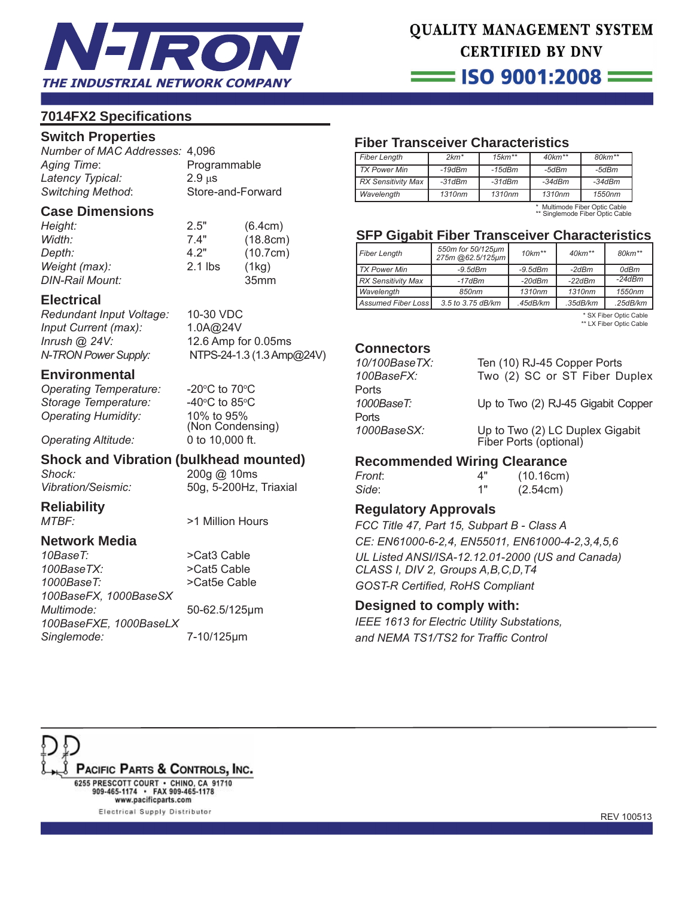

# QUALITY MANAGEMENT SYSTEM **CERTIFIED BY DNV**

= ISO 9001:2008 **=** 

# **7014FX2 Specifi cations**

#### **Switch Properties**

*Number of MAC Addresses:* 4,096 Aging Time: Programmable *Latency Typical:* 2.9 μs *Switching Method*: Store-and-Forward

#### **Case Dimensions**

| Height:         | 2.5"      | (6.4cm)          |
|-----------------|-----------|------------------|
| Width:          | 7.4"      | (18.8cm)         |
| Depth:          | 4.2"      | (10.7cm)         |
| Weight (max):   | $2.1$ lbs | (1kq)            |
| DIN-Rail Mount: |           | 35 <sub>mm</sub> |

#### **Electrical**

*Redundant Input Voltage:* 10-30 VDC *Input Current (max):* 1.0A@24V *Inrush @ 24V:* 12.6 Amp for 0.05ms *N-TRON Power Supply:* NTPS-24-1.3 (1.3 Amp@24V)

#### **Environmental**

*Operating Temperature:* **Storage Temperature:** *Operating Humidity:* 10% to 95%

C to 70 $\mathrm{^{\circ}C}$ C to 85 $\mathrm{^{\circ}C}$  (Non Condensing) *Operating Altitude:* 0 to 10,000 ft.

# **Shock and Vibration (bulkhead mounted)**

*Shock:* 200g @ 10ms

*Vibration/Seismic:* 50g, 5-200Hz, Triaxial

**Reliability** *MTBF:* >1 Million Hours

# **Network Media**

*10BaseT:* >Cat3 Cable *100BaseTX:* >Cat5 Cable *1000BaseT:* >Cat5e Cable *100BaseFX, 1000BaseSX Multimode:* 50-62.5/125μm *100BaseFXE, 1000BaseLX Singlemode:* 7-10/125μm

# **Fiber Transceiver Characteristics**

| <b>Fiber Length</b>       | $2km*$   | $15km**$ | $40km**$ | $80 km**$ |
|---------------------------|----------|----------|----------|-----------|
| <b>TX Power Min</b>       | $-19dBm$ | -15dBm   | -5dBm    | -5dBm     |
| <b>RX Sensitivity Max</b> | $-31dBm$ | $-31dBm$ | $-34dBm$ | $-34dBm$  |
| Wavelength                | 1310nm   | 1310nm   | 1310nm   | 1550nm    |

\* Multimode Fiber Optic Cable \*\* Singlemode Fiber Optic Cable

# **SFP Gigabit Fiber Transceiver Characteristics**

| Fiber Length              | 550m for 50/125µm<br>275m @62.5/125µm | $10km**$      | $40km**$ | $80 km**$ |
|---------------------------|---------------------------------------|---------------|----------|-----------|
| <b>TX Power Min</b>       | $-9.5$ d $Bm$                         | $-9.5$ d $Bm$ | -2dBm    | 0dBm      |
| <b>RX Sensitivity Max</b> | $-17dBm$                              | $-20dBm$      | $-22dBm$ | $-24dBm$  |
| Wavelength                | 850nm                                 | 1310nm        | 1310nm   | 1550nm    |
| <b>Assumed Fiber Loss</b> | 3.5 to 3.75 dB/km                     | .45dB/km      | .35dB/km | .25dB/km  |

 \* SX Fiber Optic Cable \*\* LX Fiber Optic Cable

#### **Connectors**

| 10/100BaseTX: | Ten (10) RJ-45 Copper Ports                               |
|---------------|-----------------------------------------------------------|
| 100BaseFX:    | Two (2) SC or ST Fiber Duplex                             |
| Ports         |                                                           |
| 1000BaseT:    | Up to Two (2) RJ-45 Gigabit Copper                        |
| Ports         |                                                           |
| 1000BaseSX:   | Up to Two (2) LC Duplex Gigabit<br>Fiber Ports (optional) |

## **Recommended Wiring Clearance**

| Front: | 4" | (10.16cm) |
|--------|----|-----------|
| Side:  | 1" | (2.54cm)  |
|        |    |           |

#### **Regulatory Approvals**

*FCC Title 47, Part 15, Subpart B - Class A CE: EN61000-6-2,4, EN55011, EN61000-4-2,3,4,5,6 UL Listed ANSI/ISA-12.12.01-2000 (US and Canada) CLASS I, DIV 2, Groups A,B,C,D,T4* **GOST-R Certified, RoHS Compliant** 

#### **Designed to comply with:**

*IEEE 1613 for Electric Utility Substations,* and NEMA TS1/TS2 for Traffic Control



Electrical Supply Distributor